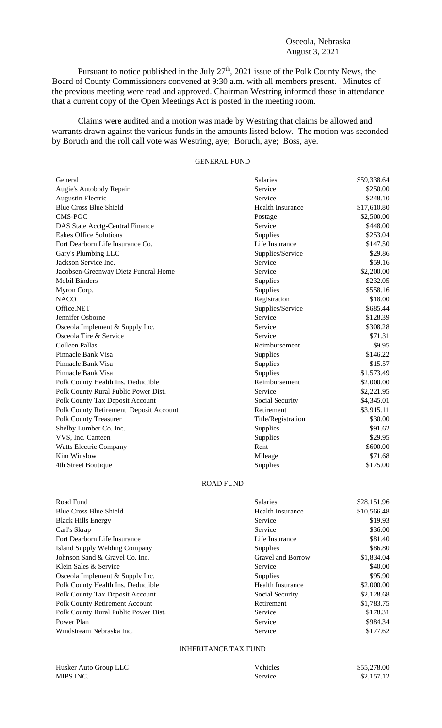## Osceola, Nebraska August 3, 2021

Pursuant to notice published in the July  $27<sup>th</sup>$ , 2021 issue of the Polk County News, the Board of County Commissioners convened at 9:30 a.m. with all members present. Minutes of the previous meeting were read and approved. Chairman Westring informed those in attendance that a current copy of the Open Meetings Act is posted in the meeting room.

Claims were audited and a motion was made by Westring that claims be allowed and warrants drawn against the various funds in the amounts listed below. The motion was seconded by Boruch and the roll call vote was Westring, aye; Boruch, aye; Boss, aye.

## GENERAL FUND

| General                                | <b>Salaries</b>    | \$59,338.64 |
|----------------------------------------|--------------------|-------------|
| Augie's Autobody Repair                | Service            | \$250.00    |
| <b>Augustin Electric</b>               | Service            | \$248.10    |
| <b>Blue Cross Blue Shield</b>          | Health Insurance   | \$17,610.80 |
| CMS-POC                                | Postage            | \$2,500.00  |
| DAS State Acctg-Central Finance        | Service            | \$448.00    |
| <b>Eakes Office Solutions</b>          | Supplies           | \$253.04    |
| Fort Dearborn Life Insurance Co.       | Life Insurance     | \$147.50    |
| Gary's Plumbing LLC                    | Supplies/Service   | \$29.86     |
| Jackson Service Inc.                   | Service            | \$59.16     |
| Jacobsen-Greenway Dietz Funeral Home   | Service            | \$2,200.00  |
| <b>Mobil Binders</b>                   | Supplies           | \$232.05    |
| Myron Corp.                            | Supplies           | \$558.16    |
| <b>NACO</b>                            | Registration       | \$18.00     |
| Office.NET                             | Supplies/Service   | \$685.44    |
| Jennifer Osborne                       | Service            | \$128.39    |
| Osceola Implement & Supply Inc.        | Service            | \$308.28    |
| Osceola Tire & Service                 | Service            | \$71.31     |
| Colleen Pallas                         | Reimbursement      | \$9.95      |
| Pinnacle Bank Visa                     | Supplies           | \$146.22    |
| Pinnacle Bank Visa                     | Supplies           | \$15.57     |
| Pinnacle Bank Visa                     | Supplies           | \$1,573.49  |
| Polk County Health Ins. Deductible     | Reimbursement      | \$2,000.00  |
| Polk County Rural Public Power Dist.   | Service            | \$2,221.95  |
| <b>Polk County Tax Deposit Account</b> | Social Security    | \$4,345.01  |
| Polk County Retirement Deposit Account | Retirement         | \$3,915.11  |
| Polk County Treasurer                  | Title/Registration | \$30.00     |
| Shelby Lumber Co. Inc.                 | Supplies           | \$91.62     |
| VVS, Inc. Canteen                      | Supplies           | \$29.95     |
| Watts Electric Company                 | Rent               | \$600.00    |
| <b>Kim Winslow</b>                     | Mileage            | \$71.68     |
| 4th Street Boutique                    | Supplies           | \$175.00    |

## ROAD FUND

| Road Fund                            | Salaries                | \$28,151.96 |
|--------------------------------------|-------------------------|-------------|
| <b>Blue Cross Blue Shield</b>        | <b>Health Insurance</b> | \$10,566.48 |
| <b>Black Hills Energy</b>            | Service                 | \$19.93     |
| Carl's Skrap                         | Service                 | \$36.00     |
| Fort Dearborn Life Insurance         | Life Insurance          | \$81.40     |
| Island Supply Welding Company        | <b>Supplies</b>         | \$86.80     |
| Johnson Sand & Gravel Co. Inc.       | Gravel and Borrow       | \$1,834.04  |
| Klein Sales & Service                | Service                 | \$40.00     |
| Osceola Implement & Supply Inc.      | <b>Supplies</b>         | \$95.90     |
| Polk County Health Ins. Deductible   | Health Insurance        | \$2,000.00  |
| Polk County Tax Deposit Account      | Social Security         | \$2,128.68  |
| Polk County Retirement Account       | Retirement              | \$1,783.75  |
| Polk County Rural Public Power Dist. | Service                 | \$178.31    |
| Power Plan                           | Service                 | \$984.34    |
| Windstream Nebraska Inc.             | Service                 | \$177.62    |
|                                      |                         |             |

## INHERITANCE TAX FUND

| Husker Auto Group LLC | Vehicles | \$55,278.00 |
|-----------------------|----------|-------------|
| MIPS INC.             | Service  | \$2,157.12  |